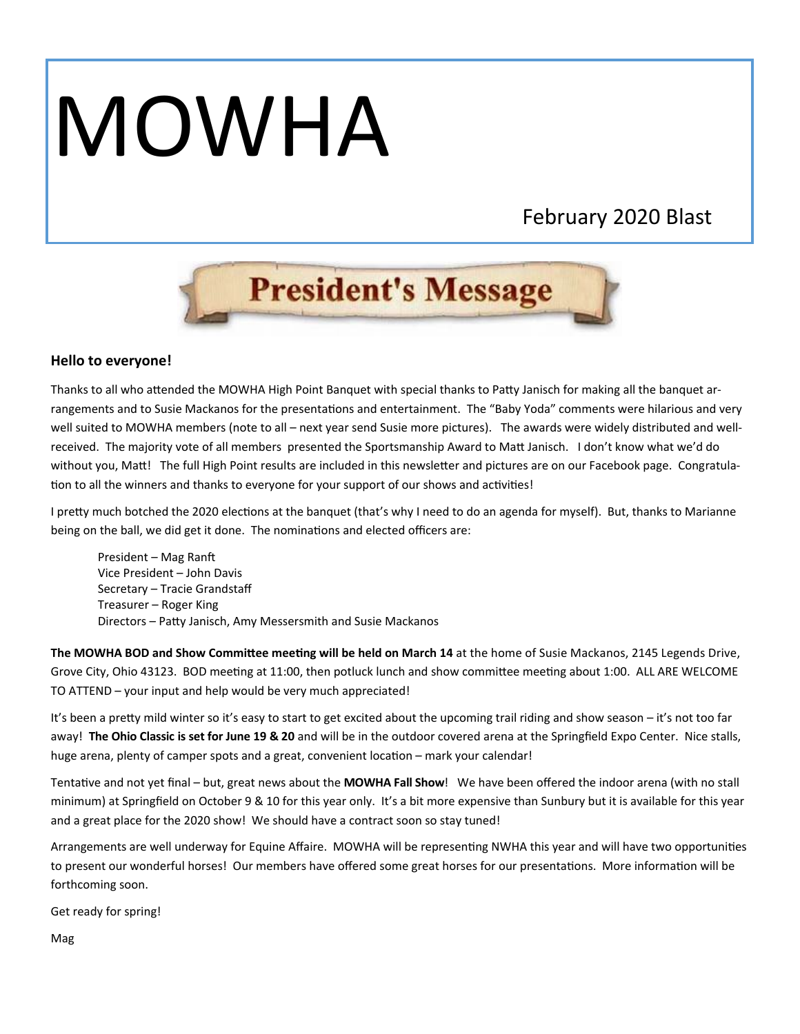# MOWHA

#### February 2020 Blast



#### **Hello to everyone!**

Thanks to all who attended the MOWHA High Point Banquet with special thanks to Patty Janisch for making all the banquet arrangements and to Susie Mackanos for the presentations and entertainment. The "Baby Yoda" comments were hilarious and very well suited to MOWHA members (note to all – next year send Susie more pictures). The awards were widely distributed and wellreceived. The majority vote of all members presented the Sportsmanship Award to Matt Janisch. I don't know what we'd do without you, Matt! The full High Point results are included in this newsletter and pictures are on our Facebook page. Congratulation to all the winners and thanks to everyone for your support of our shows and activities!

I pretty much botched the 2020 elections at the banquet (that's why I need to do an agenda for myself). But, thanks to Marianne being on the ball, we did get it done. The nominations and elected officers are:

President – Mag Ranft Vice President – John Davis Secretary – Tracie Grandstaff Treasurer – Roger King Directors – Patty Janisch, Amy Messersmith and Susie Mackanos

**The MOWHA BOD and Show Committee meeting will be held on March 14** at the home of Susie Mackanos, 2145 Legends Drive, Grove City, Ohio 43123. BOD meeting at 11:00, then potluck lunch and show committee meeting about 1:00. ALL ARE WELCOME TO ATTEND – your input and help would be very much appreciated!

It's been a pretty mild winter so it's easy to start to get excited about the upcoming trail riding and show season – it's not too far away! **The Ohio Classic is set for June 19 & 20** and will be in the outdoor covered arena at the Springfield Expo Center. Nice stalls, huge arena, plenty of camper spots and a great, convenient location – mark your calendar!

Tentative and not yet final – but, great news about the **MOWHA Fall Show**! We have been offered the indoor arena (with no stall minimum) at Springfield on October 9 & 10 for this year only. It's a bit more expensive than Sunbury but it is available for this year and a great place for the 2020 show! We should have a contract soon so stay tuned!

Arrangements are well underway for Equine Affaire. MOWHA will be representing NWHA this year and will have two opportunities to present our wonderful horses! Our members have offered some great horses for our presentations. More information will be forthcoming soon.

Get ready for spring!

Mag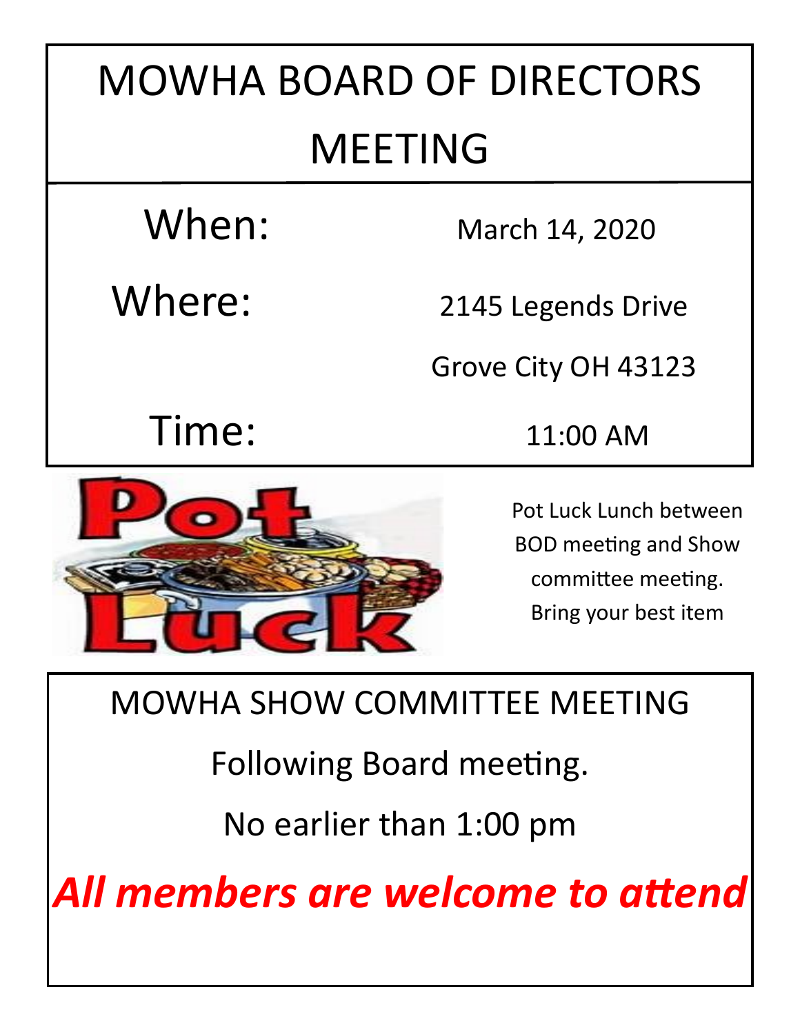## MOWHA BOARD OF DIRECTORS MEETING

When: March 14, 2020

Where: 2145 Legends Drive

Grove City OH 43123

Time: 11:00 AM



Pot Luck Lunch between BOD meeting and Show committee meeting. Bring your best item

MOWHA SHOW COMMITTEE MEETING

Following Board meeting.

No earlier than 1:00 pm

*All members are welcome to attend*